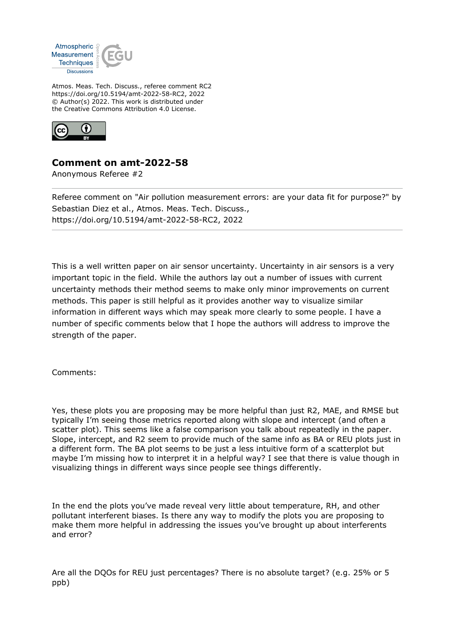

Atmos. Meas. Tech. Discuss., referee comment RC2 https://doi.org/10.5194/amt-2022-58-RC2, 2022 © Author(s) 2022. This work is distributed under the Creative Commons Attribution 4.0 License.



## **Comment on amt-2022-58**

Anonymous Referee #2

Referee comment on "Air pollution measurement errors: are your data fit for purpose?" by Sebastian Diez et al., Atmos. Meas. Tech. Discuss., https://doi.org/10.5194/amt-2022-58-RC2, 2022

This is a well written paper on air sensor uncertainty. Uncertainty in air sensors is a very important topic in the field. While the authors lay out a number of issues with current uncertainty methods their method seems to make only minor improvements on current methods. This paper is still helpful as it provides another way to visualize similar information in different ways which may speak more clearly to some people. I have a number of specific comments below that I hope the authors will address to improve the strength of the paper.

Comments:

Yes, these plots you are proposing may be more helpful than just R2, MAE, and RMSE but typically I'm seeing those metrics reported along with slope and intercept (and often a scatter plot). This seems like a false comparison you talk about repeatedly in the paper. Slope, intercept, and R2 seem to provide much of the same info as BA or REU plots just in a different form. The BA plot seems to be just a less intuitive form of a scatterplot but maybe I'm missing how to interpret it in a helpful way? I see that there is value though in visualizing things in different ways since people see things differently.

In the end the plots you've made reveal very little about temperature, RH, and other pollutant interferent biases. Is there any way to modify the plots you are proposing to make them more helpful in addressing the issues you've brought up about interferents and error?

Are all the DQOs for REU just percentages? There is no absolute target? (e.g. 25% or 5 ppb)